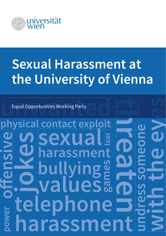

# **Sexual Harassment at the University of Vienna**

# **leer undress someone with the eyes ephor Maluesa Construction**<br> **harassment**<br> **harassment power sexu hassm off ensive gual Opportunities Working Party<br>
<b>ysical contact exploit**<br> **bullying**and **definities tharassment**<br> **bullying**and **definities on definities on definities on definities on definities on definities values physical contact exploit** Equal Opportunities Working Party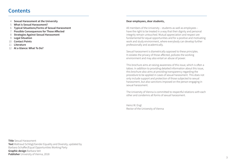# **Contents**

- 4 **Sexual Harassment at the University**
- 5 **What is Sexual Harassment?**
- 6 **Typical Situations/Forms of Sexual Harassment**
- 7 **Possible Consequences for Those Affected**
- 8 **Strategies Against Sexual Harassment**
- 9 **Legal Situation**
- 10 **Contact Points**
- 11 **Literature**
- 12 **At a Glance: What To Do?**

#### **Dear employees, dear students,**

All members of the University – students as well as employees – have the right to be treated in a way that their dignity and personal integrity remain untouched. Mutual appreciation and respect are fundamental for equal opportunities and for a positive and motivating work and study environment, where everybody can develop further professionally and academically.

Sexual harassment is diametrically opposed to these principles. It violates the privacy of those affected, pollutes the working environment and may also entail an abuse of power.

This brochure aims at raising awareness of this issue, which is often a taboo. In addition to providing detailed information about this issue, this brochure also aims at providing transparency regarding the procedure to be applied in cases of sexual harassment. This does not only include support and protection of those subjected to sexual harassment, but also sanctions imposed on the person engaging in sexual harassment.

The University of Vienna is committed to respectful relations with each other and condemns all forms of sexual harassment.

Heinz W. Engl Rector of the University of Vienna

**Title** Sexual Harassment **Text** Waltraud Schlögl/Gender Equality and Diversity, updated by Barbara Schaffer/Equal Opportunities Working Party **Graphic design** Barbara Veit **Publisher** University of Vienna, 2018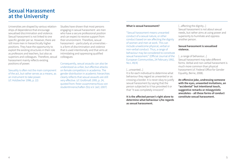# **Sexual Harassment at the University**

Universities are shaped by various relationships of dependence that encourage sexualised discrimination and violence. Sexual harassment is not linked to one specific gender per se. However, there are still more men in hierarchically higher positions. They have the opportunity to exploit the existing structures in their role as professors and teachers, but also as superiors and colleagues. Therefore, sexual harassment mainly reflects existing positions of power.

Sexuality is often not the main component of the act, but rather serves as a means, as an instrument to take power. (cf. Holzbecher 1996, p. 22)

Studies have shown that most persons engaging in sexual harassment are men who have a secure professional position and can expect to receive support from their environment. Therefore, sexual harassment – particularly at universities – is a form of discrimination and violence that is used intentionally and that aims at intimidating and oppressing qualified colleagues:

Consequently, sexual assaults can also be understood as unfair, but effective attacks on female competitors in academia. The gender distribution in academic hierarchies clearly reflects that sexual assaults are still very effective. (cf. Großmaß 1995, p. 24, quoted from: freier zusammenschluss von studentInnenschaften (fzs) e.V. (ed.) 2007)

#### **What is sexual harassment?**

"Sexual harassment means unwanted conduct of a sexual nature, or other conduct based on sex affecting the dignity of women and men at work. This can include unwelcome physical, verbal or non-verbal conduct. Thus, a range of behaviour may be considered to constitute sexual harassment." (Official Journal of the European Communities, 24 February 1992, No L 49/4)

#### [...unwanted...]

It is for each individual to determine what behaviour they regard as unwanted or as crossing a border. It is never okay to justify sexual harassment by saying that the person subjected to it has provoked it or that "it was completely innocent".

**It is the affected person's right alone to determine what behaviour s/he regards as sexual harassment.**

[...affecting the dignity...] Sexual harassment is not about sexual needs, but rather aims at using power and superiority to humiliate and oppress another person.

#### **Sexual harassment is sexualised violence.**

[...a range of behaviour...] Sexual harassment may take different forms. Verbal and non-verbal harassment is much more common than physical harassment (cf. Federal Office for Gender Equality, Berne, 2008).

**An offensive joke, undressing someone with the eyes, unwanted invitations, an "accidental" but intentional touch, suggestive remarks or misogynistic anecdotes – all these forms of conduct constitute sexual harassment.**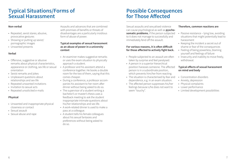# **Typical Situations/Forms of Sexual Harassment**

### **Non-verbal**

- Repeated, sexist stares; abusive, provocative gestures
- Showing or putting up sexist/ pornographic images
- Unwanted presents

### **Verbal**

- Offensive, suggestive or abusive remarks about physical characteristics, appearance or clothing, sex life or sexual orientation
- Sexist remarks and jokes
- Unpleasant questions about relationships and sex life
- Repeated unwanted invitations
- Invitation to sexual acts
- Repeated unsolicited e-mails

### **Physical**

- Unwanted and inappropriate physical closeness or contact
- Sexual assault
- Sexual abuse and rape

Assaults and advances that are combined with promises of benefits or threats of disadvantages are a particularly insidious form of abuse of power.

#### **Typical examples of sexual harassment as an abuse of power in a university context**

- An examiner makes suggestive remarks or uses the exam situation to physically approach a student.
- A professor and his assistant attend a conference together. He books a double room for the two of them, saying that this comes cheaper.
- During a conference, a professor accompanies his assistant to her room after dinner without being asked to do so.
- The supervisor of a student writing a bachelor's or master's thesis uses a feedback meeting to ask the student inappropriate intimate questions about his/her relationships and sex life.
- A work-related dinner is used to make a pass at a colleague.
- A student tells his female colleagues about his sexual fantasies and preferences without being asked to do so.

# **Possible Consequences for Those Affected**

Sexual assaults and sexualised violence can cause psychological as well as **pyschosomatic problems**, if the person subjected to it does not manage to successfully and immediately fend off the assault.

### **For various reasons, it is often difficult for those affected to actively fight back.**

- People subjected to an assault are often taken by surprise and feel paralysed.
- A person in a superior hierarchical position harasses someone. The affected person is in a subordinate position, which prevents him/her from reacting.
- The situation is characterised by fear and dependence, e.g. in an exam situation.
- The affected person suppresses his/her feelings because s/he does not want to seem "touchy".

### **Therefore, common reactions are**

- Passive resistance lying low, avoiding situations that might potentially lead to harassment
- Keeping the incident a secret out of shame or fear of the consequences
- Feeling of being powerless, blaming yourself and feelings of failure
- Insecurity and inability to move freely, withdrawal

# **Typical effects of sexual harassment on mind and body**

- Concentration disorders
- Anxiety, depression
- Physical complaints
- Lower performance
- Limited development possibilities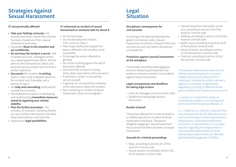# **Strategies Against Sexual Harassment**

### **If I am personally affected**

- **• Take your feelings seriously.** Tell yourself and others clearly that a border has been crossed and that a sexual harassment took place.
- If possible: **React in the situation and act confidently.**
- **• Do not keep the incident a secret.** Talk to people you trust, colleagues and/or your equal opportunities officer. Tell the persons who harassed you about your personal opinion and/or send him/her a written statement.
- **• Document** the incidents **in writing**: Store e-mails; write a detailed report on the incident and, if possible, ask a witness to sign it.
- Get **help and counselling** inside and/or outside the University.
- Get professional support in developing and implementing **immediate measures aimed at regaining your mental stability.**
- **• Plan the further procedure.** This includes, for example, clarifying whether you want further interventions and what these interventions could look like.
- Explore your **legal possibilities.**

### **If I witnessed an incident of sexual harassment or someone told me about it**

- Do not look away.
- Do not downplay the incident. ("Oh, come on, relax.")
- Take responsibility and support the person affected in the situation as far as possible.
- Encourage the person affected to get help.
- Do not do anything against the will of the person affected.
- Document the incident in writing (time, place, description of the situation).
- If necessary, contact a counselling service yourself.
- In general, do not doubt the credibility of the information about the incident.
- Not countering an incident of sexual harassment means encouraging it.

# **Legal Situation**

### **Disciplinary consequences for civil servants**

According to the Beamtendienstrechtsgesetz (civil service code), (sexual) harassment constitutes a breach of the civil servants act and may lead to disciplinary consequences.

#### **Protection against (sexual) harassment at the workplace**

The Bundes-Gleichbehandlungsgesetz (Austrian federal equal treatment act) protects university members and students against sexual harassment.

#### **Legal consequences and deadlines for taking legal actions**

- Claim for damages (minimum EUR 1,000)
- Deadline for taking legal actions: three years

# **Burden of proof**

The person affected has to demonstrate in a credible way that an incident of sexual harassment took place. The person allegedly engaging in sexual harassment has to prove that there has been no sexual harassment.

# **Grounds for criminal proceedings**

- Rape, according to section 201 of the Austrian criminal code
- Sexual assault, according to section 202 of the Austrian criminal code
- Sexual harassment and public sexual acts, according to section 218 of the Austrian criminal code
- Stalking, according to section 107a of the Austrian criminal code
- Bodily injury, according to sections 83 ff. of the Austrian criminal code
- Abuse of power, according to section 212 of the Austrian criminal code
- Coercion, according to section 105 of the Austrian criminal code

The Austrian federal equal treatment act defines sexual harassment as conduct related to the sexual sphere which is violating or intended to violate a person's dignity, is unwanted, inappropriate, degrading, insulting, or offensive to the person at which the actions are aimed, and

1. creates or is intended to create an intimidating, hostile, or humiliating work environment for the person affected, or

2. [...] takes [it] as a basis for a decision that has consequences for the affected person's access to training or continuing education, employment, continued employment, promotion or remuneration, or any other decision regarding the employment or training relationship (section 8 of the federal equal opportunities act (Bundesgleichbehandlungsgesetz, B-GlBG)).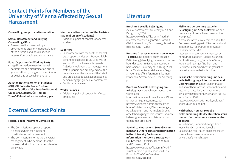# **Contact Points for Members of the University of Vienna Affected by Sexual Harassment**

#### **Counselling, support and information**

#### **Sexual Harassment and Bullying Counselling Office**

• Free counselling provided by a psychotherapist; anonymous evaluation of the situation and possibilities of intervention; psychosocial assistance

#### **Equal Opportunities Working Party**

• Legal information regarding sexual harassment and discrimination due to gender, ethnicity, religious denomination or belief, age or sexual orientation.

**Austrian National Union of Students (ÖH): ÖH Kollektiv Frauen\*referat (women's office of the Austrian National Union of Students), ÖH HomoBi-Trans\*-Referat (office for lesbian, gay,** 

#### **bisexual and trans affairs of the Austrian National Union of Students)**

• Additional point of contact for affected students

#### **Superiors**

- In accordance with the Austrian federal equal opportunities act (Bundesgleichbehandlungsgesetz, B-GlBG) as well as section 18 of the Angestelltengesetz (salaried employees act), management staff, superiors and employers have the duty of care for the welfare of their staff and are obliged to take actions against persons engaging in sexual harassment. • Conflict management
- 

#### **Works Councils**

• Additional point of contact for affected employees

# **External Contact Points**

# **Federal Equal Treatment Commission**

- The Commission prepares a report.
- It decides whether an incident constitutes sexual harassment.
- The Commission informs the university management, who demands that the harasser refrains from his or her offensive behaviour.

# **Literature**

# **Brochure Sexuelle Belästigung**

(sexual harassment), University of Art and Design Linz, 2014 https://www.ufg.at/fileadmin/media/ interessensvertretungen/Arbeitskreis\_f.\_ Gleichbehandlung/Broschuere\_ Sexuelle-Belaestigung\_RZ.pdf

### **Brochure Grenzen erkennen – benennen**

**– setzen.** Eine Initiative gegen sexuelle Belästigung (identifying, naming and setting boundaries. An initiative against sexual harassment), University of Salzburg, 2009 https://static.uni-graz.at/fileadmin/Akgl/ 3\_ Fuer\_Betroffene/Grenzen\_Erkennen\_ Benennen Setzen SexBel Uni Salzburg. pdf

### **Brochure Sexuelle Belästigung am**

**Arbeitsplatz** (sexual harassment at the workplace)

Information for employers, Federal Office for Gender Equality, Berne, 2008 https://www.seco.admin.ch/seco/de/ home/Publikationen\_Dienstleistungen/ Publikationen\_und\_Formulare/Arbeit/ Arbeitsbedingungen/Broschuren/sexuellebelaestigungamarbeitsplatz informationen-fuer-arbei.html

10 11 Belaestigung2018.pdf **Say NO to Harassment. Sexual Harassment and Other Forms of Discrimination in the University Environment. Information – Response Strategies – Help.** Vienna University of Economics and Businesss, 2011 https://www.wu.ac.at/fileadmin/wu/h/ structure/about/publications/aktuelle\_ Brosch%C3%BCren/NeinZu-

### **Risiko und Verbreitung sexueller Belästigung am Arbeitsplatz** (risks and

prevalence of sexual harassment at the workplace)

A representative survey carried out in the German-speaking part of Switzerland and in Romandy, Federal Office for Gender Equality, Berne, 2008 https://www.seco.admin.ch/seco/de/ home/Publikationen\_Dienstleistungen/ Publikationen\_und\_Formulare/Arbeit/ Arbeitsbedingungen/Studien\_und\_ Berichte/risikoundverbreitungsexuellerbelaestigungamarbeitsplatz.html

**Sexistische Diskriminierung und sexuelle Belästigung – Informationen und Gegenstrategien (**sexist discrimination and sexual harassment – information and response strategies), freier zusammenschluss von studentInnenschaften (fzs) e.V. (ed.), Berlin, 2007 http://www2.keinsexismus.de/uploads/ sexist\_diskrim\_end.pdf

#### **Holzbecher, Monika: Sexuelle Diskriminierung als Machtmechanismus (sexual discrimination as a mechanism of power)**

In: Bußmann, Hadumod/Lange, Karin (eds.): Peinlich berührt. Sexuelle Belästigung von Frauen an Hochschulen (sexual harassment of women at universities); Munich 1996